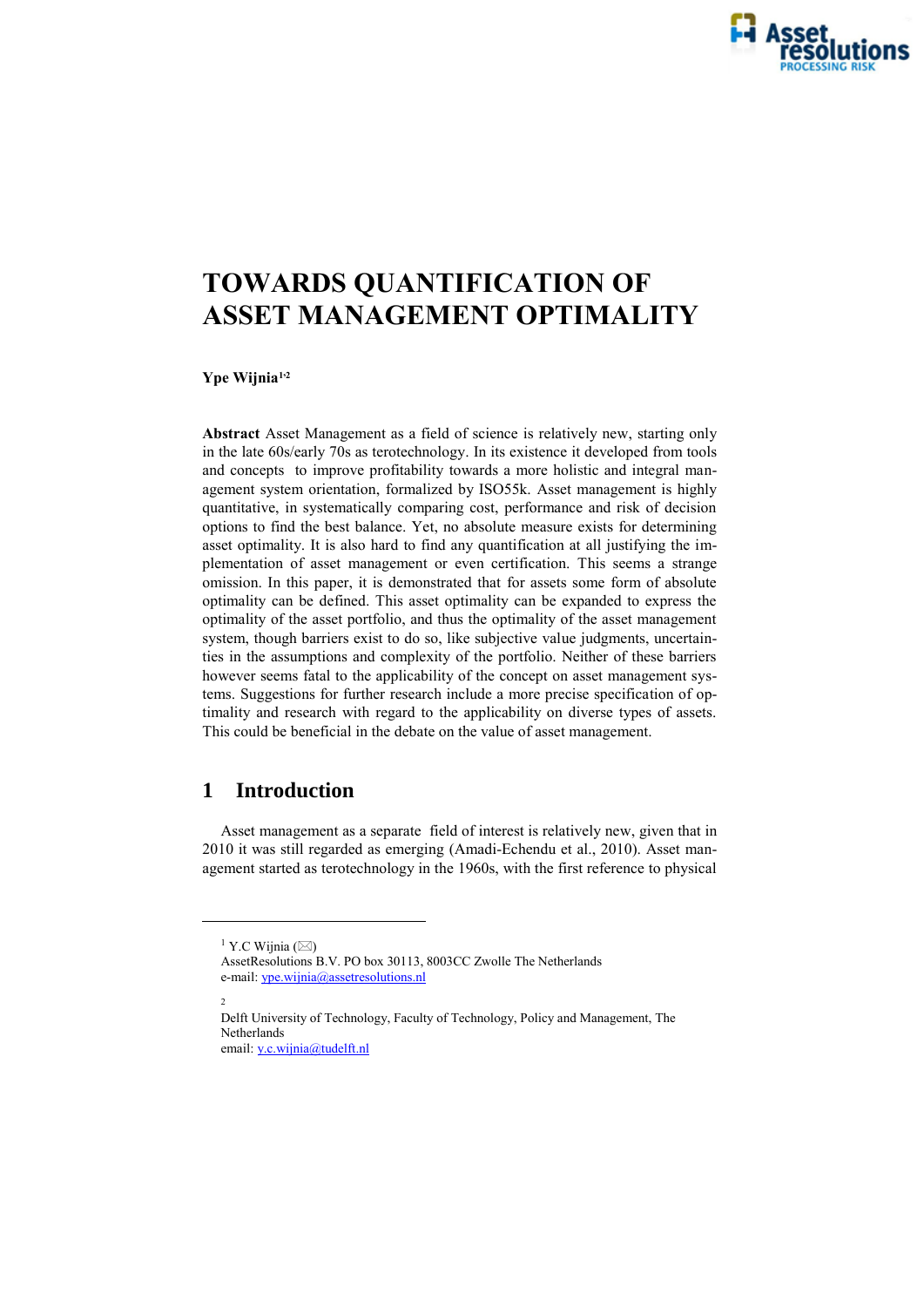

# **TOWARDS QUANTIFICATION OF ASSET MANAGEMENT OPTIMALITY**

**Ype Wijnia<sup>1</sup> ,2**

**Abstract** Asset Management as a field of science is relatively new, starting only in the late 60s/early 70s as terotechnology. In its existence it developed from tools and concepts to improve profitability towards a more holistic and integral management system orientation, formalized by ISO55k. Asset management is highly quantitative, in systematically comparing cost, performance and risk of decision options to find the best balance. Yet, no absolute measure exists for determining asset optimality. It is also hard to find any quantification at all justifying the implementation of asset management or even certification. This seems a strange omission. In this paper, it is demonstrated that for assets some form of absolute optimality can be defined. This asset optimality can be expanded to express the optimality of the asset portfolio, and thus the optimality of the asset management system, though barriers exist to do so, like subjective value judgments, uncertainties in the assumptions and complexity of the portfolio. Neither of these barriers however seems fatal to the applicability of the concept on asset management systems. Suggestions for further research include a more precise specification of optimality and research with regard to the applicability on diverse types of assets. This could be beneficial in the debate on the value of asset management.

# **1 Introduction**

Asset management as a separate field of interest is relatively new, given that in 2010 it was still regarded as emerging [\(Amadi-Echendu et al., 2010\)](#page-7-0). Asset management started as terotechnology in the 1960s, with the first reference to physical

-

<sup>&</sup>lt;sup>1</sup> Y.C Wiinia ( $\boxtimes$ )

AssetResolutions B.V. PO box 30113, 8003CC Zwolle The Netherlands e-mail[: ype.wijnia@assetresolutions.nl](mailto:ype.wijnia@assetresolutions.nl)

<sup>2</sup>

Delft University of Technology, Faculty of Technology, Policy and Management, The Netherlands email[: y.c.wijnia@tudelft.nl](mailto:y.c.wijnia@tudelft.nl)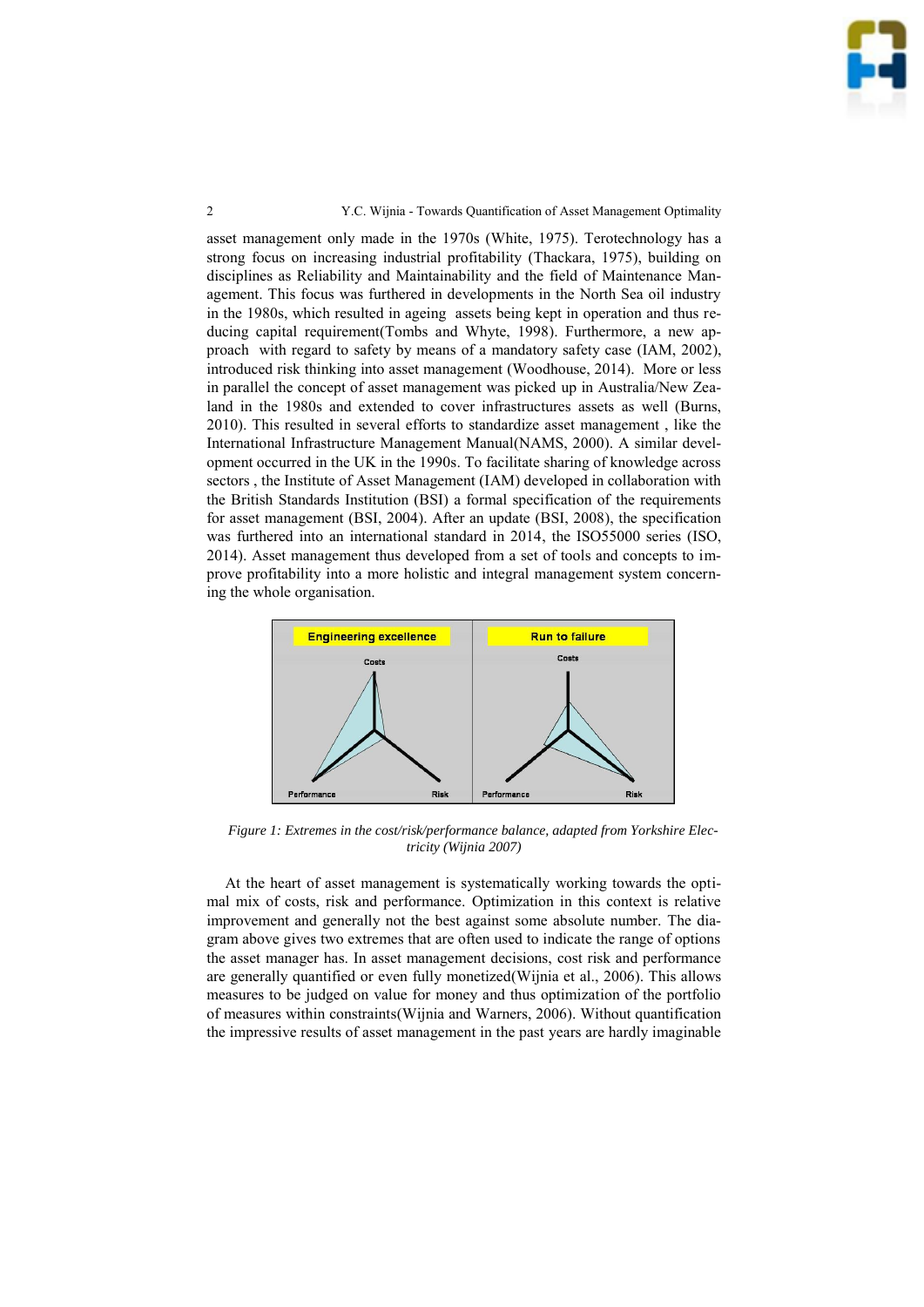

asset management only made in the 1970s [\(White, 1975\)](#page-7-1). Terotechnology has a strong focus on increasing industrial profitability [\(Thackara, 1975\)](#page-7-2), building on disciplines as Reliability and Maintainability and the field of Maintenance Management. This focus was furthered in developments in the North Sea oil industry in the 1980s, which resulted in ageing assets being kept in operation and thus reducing capital requirement[\(Tombs and Whyte, 1998\)](#page-7-3). Furthermore, a new approach with regard to safety by means of a mandatory safety case [\(IAM, 2002\)](#page-7-4), introduced risk thinking into asset management [\(Woodhouse, 2014\)](#page-7-5). More or less in parallel the concept of asset management was picked up in Australia/New Zealand in the 1980s and extended to cover infrastructures assets as well [\(Burns,](#page-7-6)  [2010\)](#page-7-6). This resulted in several efforts to standardize asset management , like the International Infrastructure Management Manual[\(NAMS, 2000\)](#page-7-7). A similar development occurred in the UK in the 1990s. To facilitate sharing of knowledge across sectors , the Institute of Asset Management (IAM) developed in collaboration with the British Standards Institution (BSI) a formal specification of the requirements for asset management [\(BSI, 2004\)](#page-7-8). After an update [\(BSI, 2008\)](#page-7-9), the specification was furthered into an international standard in 2014, the ISO55000 series [\(ISO,](#page-7-10)  [2014\)](#page-7-10). Asset management thus developed from a set of tools and concepts to improve profitability into a more holistic and integral management system concerning the whole organisation.



*Figure 1: Extremes in the cost/risk/performance balance, adapted from Yorkshire Electricity (Wijnia 2007)*

At the heart of asset management is systematically working towards the optimal mix of costs, risk and performance. Optimization in this context is relative improvement and generally not the best against some absolute number. The diagram above gives two extremes that are often used to indicate the range of options the asset manager has. In asset management decisions, cost risk and performance are generally quantified or even fully monetized[\(Wijnia et al., 2006\)](#page-7-11). This allows measures to be judged on value for money and thus optimization of the portfolio of measures within constraints[\(Wijnia and Warners, 2006\)](#page-7-12). Without quantification the impressive results of asset management in the past years are hardly imaginable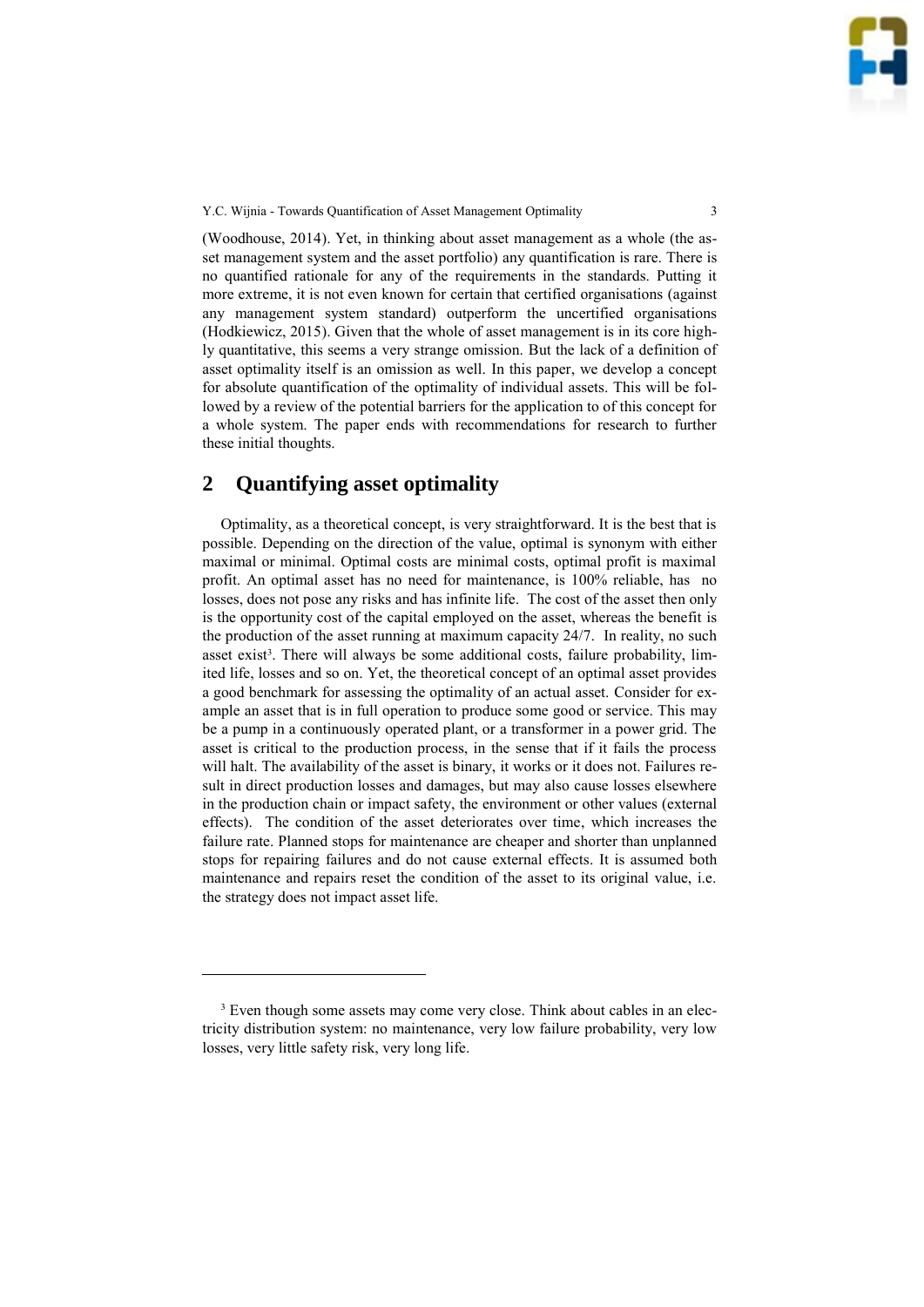[\(Woodhouse, 2014\)](#page-7-5). Yet, in thinking about asset management as a whole (the asset management system and the asset portfolio) any quantification is rare. There is no quantified rationale for any of the requirements in the standards. Putting it more extreme, it is not even known for certain that certified organisations (against any management system standard) outperform the uncertified organisations [\(Hodkiewicz, 2015\)](#page-7-13). Given that the whole of asset management is in its core highly quantitative, this seems a very strange omission. But the lack of a definition of asset optimality itself is an omission as well. In this paper, we develop a concept for absolute quantification of the optimality of individual assets. This will be followed by a review of the potential barriers for the application to of this concept for a whole system. The paper ends with recommendations for research to further these initial thoughts.

# **2 Quantifying asset optimality**

-

Optimality, as a theoretical concept, is very straightforward. It is the best that is possible. Depending on the direction of the value, optimal is synonym with either maximal or minimal. Optimal costs are minimal costs, optimal profit is maximal profit. An optimal asset has no need for maintenance, is 100% reliable, has no losses, does not pose any risks and has infinite life. The cost of the asset then only is the opportunity cost of the capital employed on the asset, whereas the benefit is the production of the asset running at maximum capacity 24/7. In reality, no such asset exist<sup>3</sup>. There will always be some additional costs, failure probability, limited life, losses and so on. Yet, the theoretical concept of an optimal asset provides a good benchmark for assessing the optimality of an actual asset. Consider for example an asset that is in full operation to produce some good or service. This may be a pump in a continuously operated plant, or a transformer in a power grid. The asset is critical to the production process, in the sense that if it fails the process will halt. The availability of the asset is binary, it works or it does not. Failures result in direct production losses and damages, but may also cause losses elsewhere in the production chain or impact safety, the environment or other values (external effects). The condition of the asset deteriorates over time, which increases the failure rate. Planned stops for maintenance are cheaper and shorter than unplanned stops for repairing failures and do not cause external effects. It is assumed both maintenance and repairs reset the condition of the asset to its original value, i.e. the strategy does not impact asset life.

<sup>&</sup>lt;sup>3</sup> Even though some assets may come very close. Think about cables in an electricity distribution system: no maintenance, very low failure probability, very low losses, very little safety risk, very long life.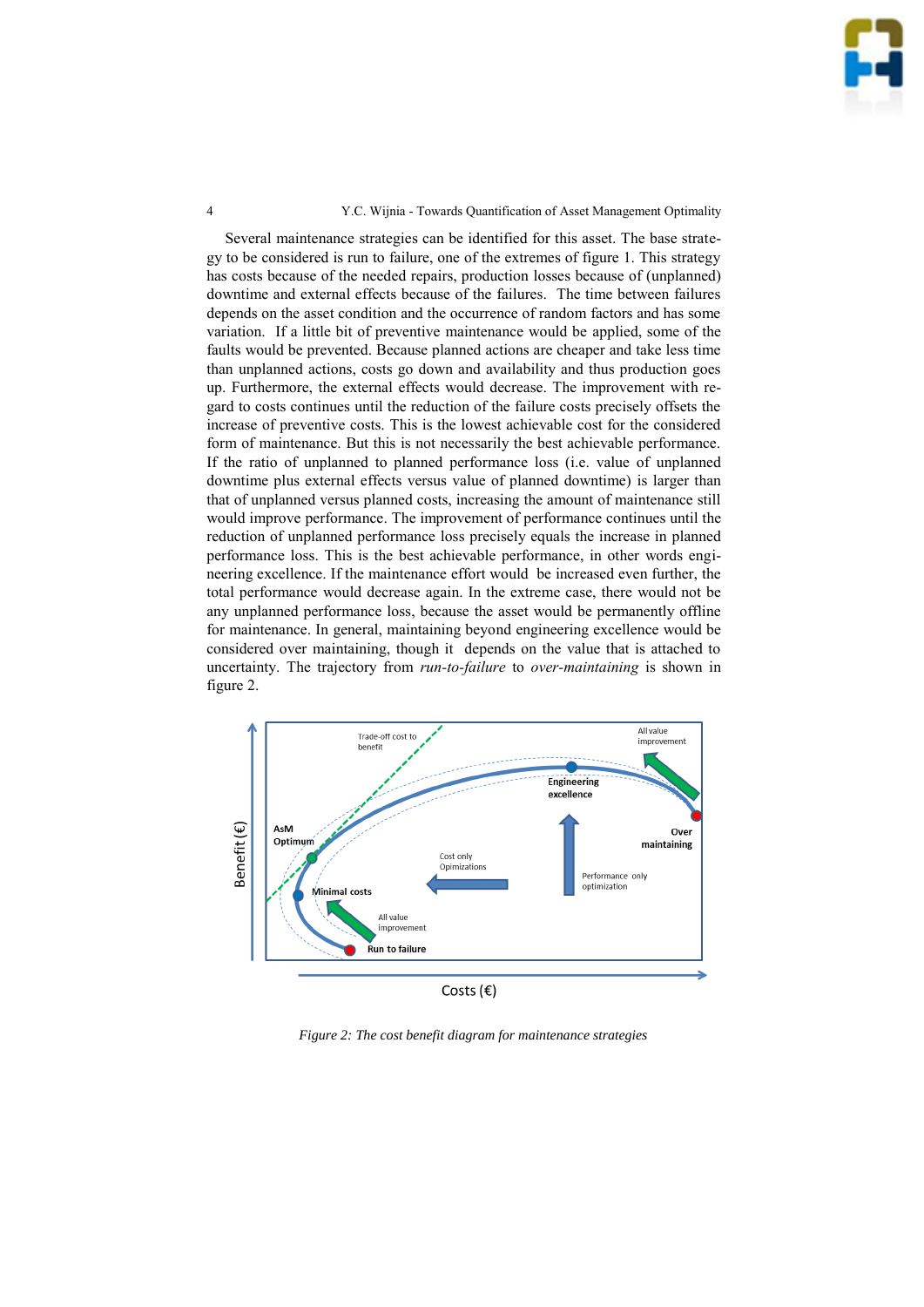

Several maintenance strategies can be identified for this asset. The base strategy to be considered is run to failure, one of the extremes of figure 1. This strategy has costs because of the needed repairs, production losses because of (unplanned) downtime and external effects because of the failures. The time between failures depends on the asset condition and the occurrence of random factors and has some variation. If a little bit of preventive maintenance would be applied, some of the faults would be prevented. Because planned actions are cheaper and take less time than unplanned actions, costs go down and availability and thus production goes up. Furthermore, the external effects would decrease. The improvement with regard to costs continues until the reduction of the failure costs precisely offsets the increase of preventive costs. This is the lowest achievable cost for the considered form of maintenance. But this is not necessarily the best achievable performance. If the ratio of unplanned to planned performance loss (i.e. value of unplanned downtime plus external effects versus value of planned downtime) is larger than that of unplanned versus planned costs, increasing the amount of maintenance still would improve performance. The improvement of performance continues until the reduction of unplanned performance loss precisely equals the increase in planned performance loss. This is the best achievable performance, in other words engineering excellence. If the maintenance effort would be increased even further, the total performance would decrease again. In the extreme case, there would not be any unplanned performance loss, because the asset would be permanently offline for maintenance. In general, maintaining beyond engineering excellence would be considered over maintaining, though it depends on the value that is attached to uncertainty. The trajectory from *run-to-failure* to *over-maintaining* is shown in figure 2.



Costs  $(\epsilon)$ 

*Figure 2: The cost benefit diagram for maintenance strategies*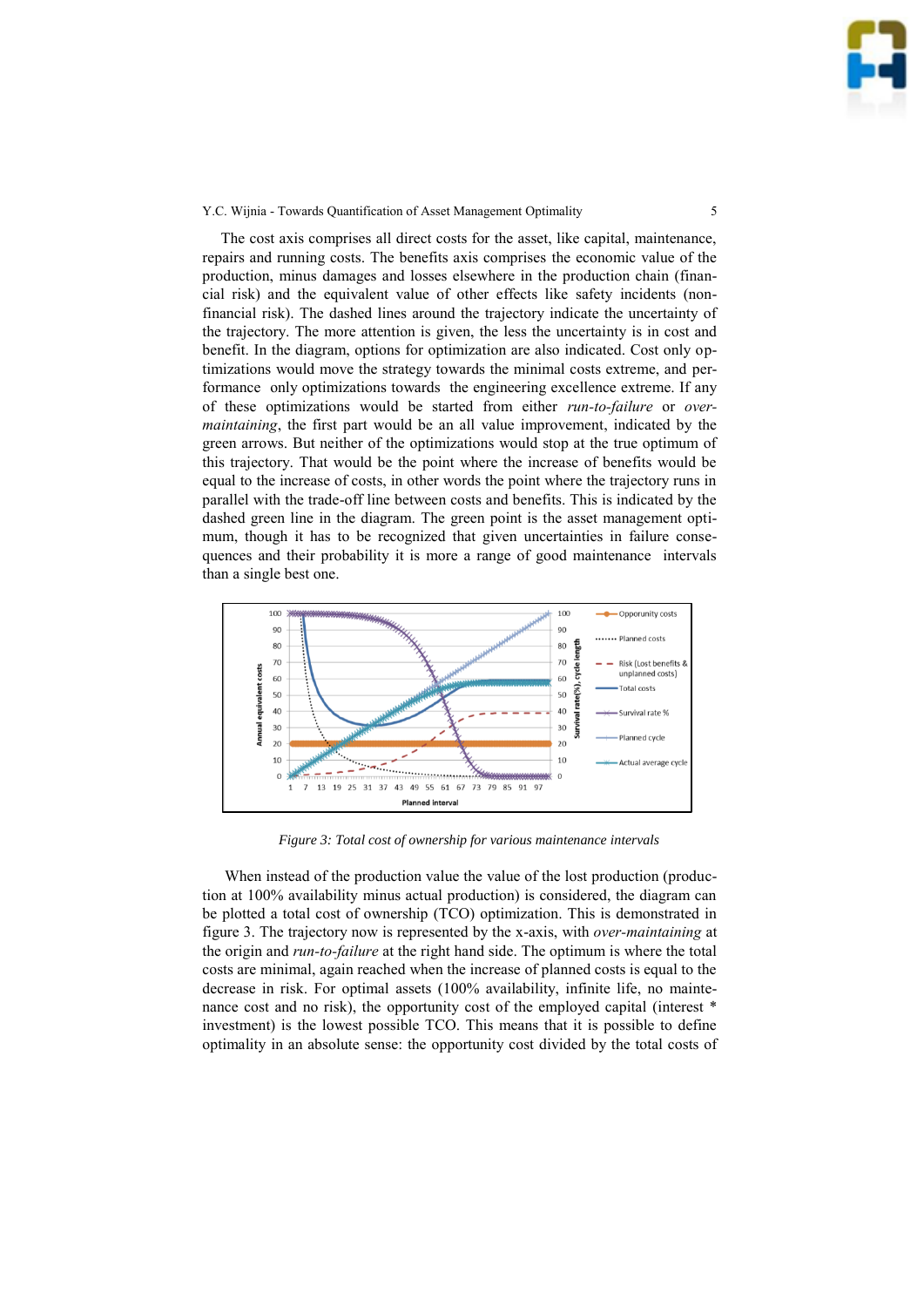The cost axis comprises all direct costs for the asset, like capital, maintenance, repairs and running costs. The benefits axis comprises the economic value of the production, minus damages and losses elsewhere in the production chain (financial risk) and the equivalent value of other effects like safety incidents (nonfinancial risk). The dashed lines around the trajectory indicate the uncertainty of the trajectory. The more attention is given, the less the uncertainty is in cost and benefit. In the diagram, options for optimization are also indicated. Cost only optimizations would move the strategy towards the minimal costs extreme, and performance only optimizations towards the engineering excellence extreme. If any of these optimizations would be started from either *run-to-failure* or *overmaintaining*, the first part would be an all value improvement, indicated by the green arrows. But neither of the optimizations would stop at the true optimum of this trajectory. That would be the point where the increase of benefits would be equal to the increase of costs, in other words the point where the trajectory runs in parallel with the trade-off line between costs and benefits. This is indicated by the dashed green line in the diagram. The green point is the asset management optimum, though it has to be recognized that given uncertainties in failure consequences and their probability it is more a range of good maintenance intervals than a single best one.



*Figure 3: Total cost of ownership for various maintenance intervals*

When instead of the production value the value of the lost production (production at 100% availability minus actual production) is considered, the diagram can be plotted a total cost of ownership (TCO) optimization. This is demonstrated in figure 3. The trajectory now is represented by the x-axis, with *over-maintaining* at the origin and *run-to-failure* at the right hand side. The optimum is where the total costs are minimal, again reached when the increase of planned costs is equal to the decrease in risk. For optimal assets (100% availability, infinite life, no maintenance cost and no risk), the opportunity cost of the employed capital (interest \* investment) is the lowest possible TCO. This means that it is possible to define optimality in an absolute sense: the opportunity cost divided by the total costs of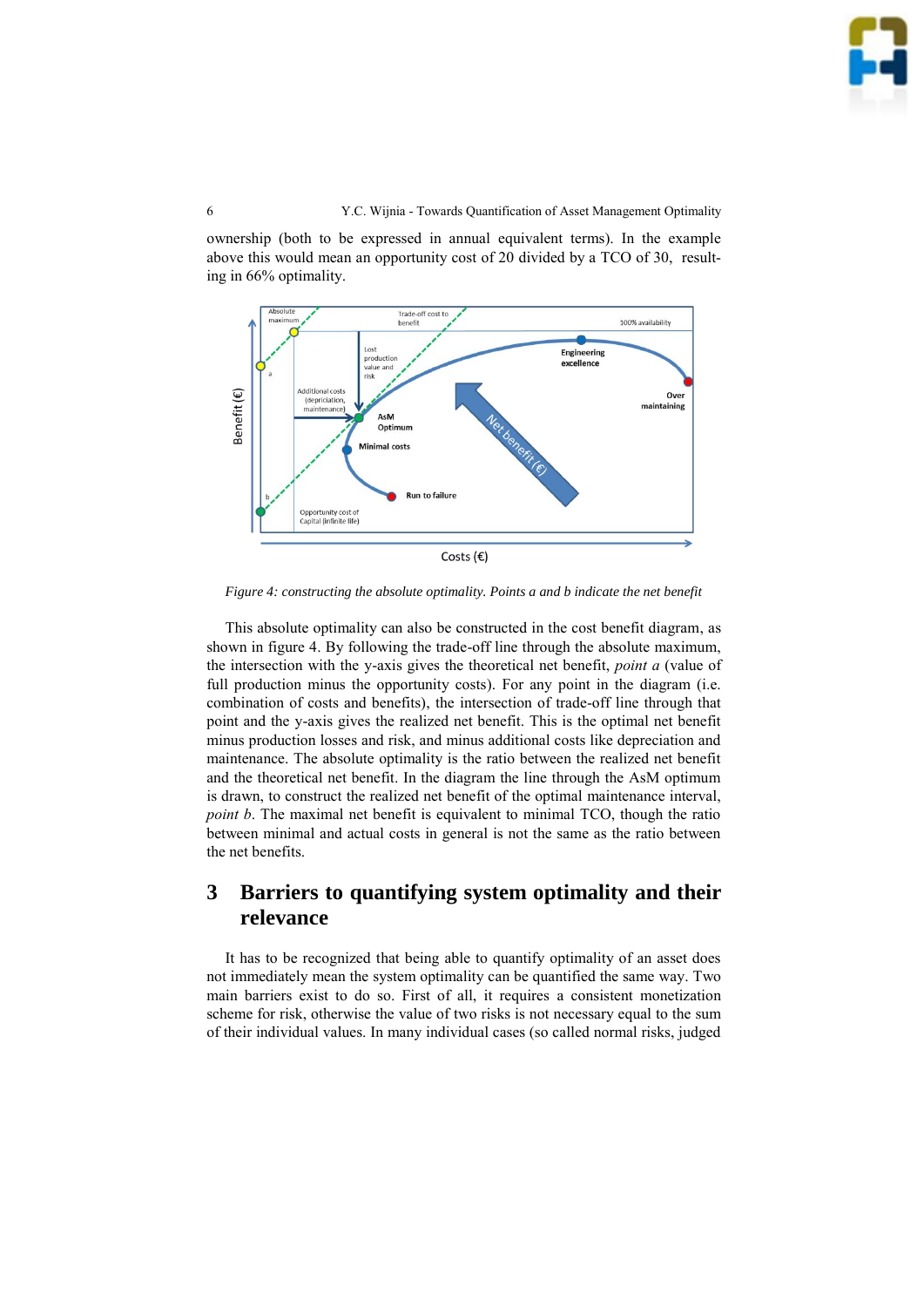

Trade-off<br>benefit 100% availability Engineering producti<br>value and<br>risk excellence Additional costs 3enefit(€) Over (depriciation)<br>maintenance AsM Opti **Minimal costs Run to failure** Opportunity cost of<br>Capital (infinite life) Costs (€)

ownership (both to be expressed in annual equivalent terms). In the example above this would mean an opportunity cost of 20 divided by a TCO of 30, resulting in 66% optimality.

*Figure 4: constructing the absolute optimality. Points a and b indicate the net benefit*

This absolute optimality can also be constructed in the cost benefit diagram, as shown in figure 4. By following the trade-off line through the absolute maximum, the intersection with the y-axis gives the theoretical net benefit, *point a* (value of full production minus the opportunity costs). For any point in the diagram (i.e. combination of costs and benefits), the intersection of trade-off line through that point and the y-axis gives the realized net benefit. This is the optimal net benefit minus production losses and risk, and minus additional costs like depreciation and maintenance. The absolute optimality is the ratio between the realized net benefit and the theoretical net benefit. In the diagram the line through the AsM optimum is drawn, to construct the realized net benefit of the optimal maintenance interval, *point b*. The maximal net benefit is equivalent to minimal TCO, though the ratio between minimal and actual costs in general is not the same as the ratio between the net benefits.

# **3 Barriers to quantifying system optimality and their relevance**

It has to be recognized that being able to quantify optimality of an asset does not immediately mean the system optimality can be quantified the same way. Two main barriers exist to do so. First of all, it requires a consistent monetization scheme for risk, otherwise the value of two risks is not necessary equal to the sum of their individual values. In many individual cases (so called normal risks, judged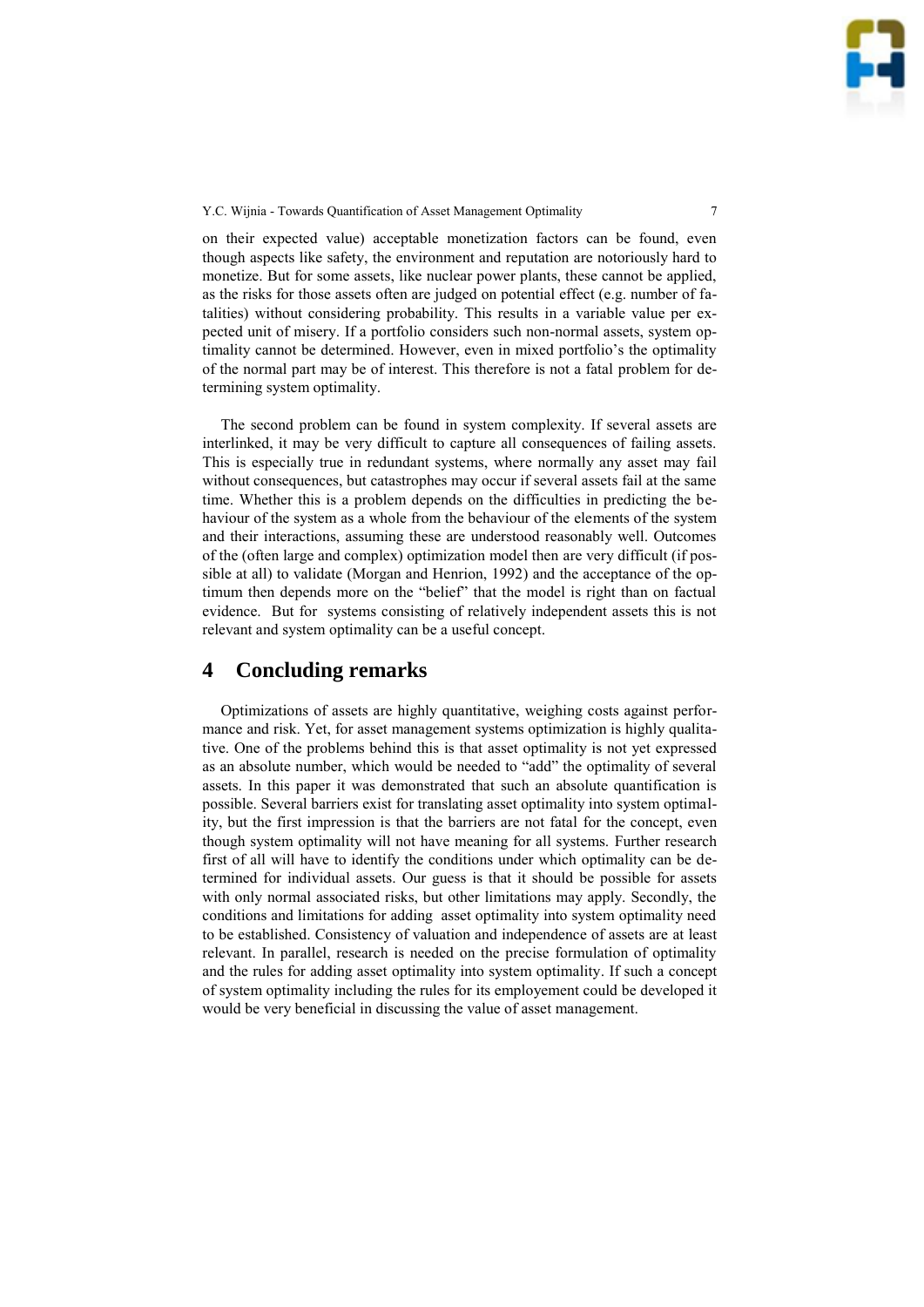on their expected value) acceptable monetization factors can be found, even though aspects like safety, the environment and reputation are notoriously hard to monetize. But for some assets, like nuclear power plants, these cannot be applied, as the risks for those assets often are judged on potential effect (e.g. number of fatalities) without considering probability. This results in a variable value per expected unit of misery. If a portfolio considers such non-normal assets, system optimality cannot be determined. However, even in mixed portfolio's the optimality of the normal part may be of interest. This therefore is not a fatal problem for determining system optimality.

The second problem can be found in system complexity. If several assets are interlinked, it may be very difficult to capture all consequences of failing assets. This is especially true in redundant systems, where normally any asset may fail without consequences, but catastrophes may occur if several assets fail at the same time. Whether this is a problem depends on the difficulties in predicting the behaviour of the system as a whole from the behaviour of the elements of the system and their interactions, assuming these are understood reasonably well. Outcomes of the (often large and complex) optimization model then are very difficult (if possible at all) to validate [\(Morgan and Henrion, 1992\)](#page-7-14) and the acceptance of the optimum then depends more on the "belief" that the model is right than on factual evidence. But for systems consisting of relatively independent assets this is not relevant and system optimality can be a useful concept.

# **4 Concluding remarks**

Optimizations of assets are highly quantitative, weighing costs against performance and risk. Yet, for asset management systems optimization is highly qualitative. One of the problems behind this is that asset optimality is not yet expressed as an absolute number, which would be needed to "add" the optimality of several assets. In this paper it was demonstrated that such an absolute quantification is possible. Several barriers exist for translating asset optimality into system optimality, but the first impression is that the barriers are not fatal for the concept, even though system optimality will not have meaning for all systems. Further research first of all will have to identify the conditions under which optimality can be determined for individual assets. Our guess is that it should be possible for assets with only normal associated risks, but other limitations may apply. Secondly, the conditions and limitations for adding asset optimality into system optimality need to be established. Consistency of valuation and independence of assets are at least relevant. In parallel, research is needed on the precise formulation of optimality and the rules for adding asset optimality into system optimality. If such a concept of system optimality including the rules for its employement could be developed it would be very beneficial in discussing the value of asset management.